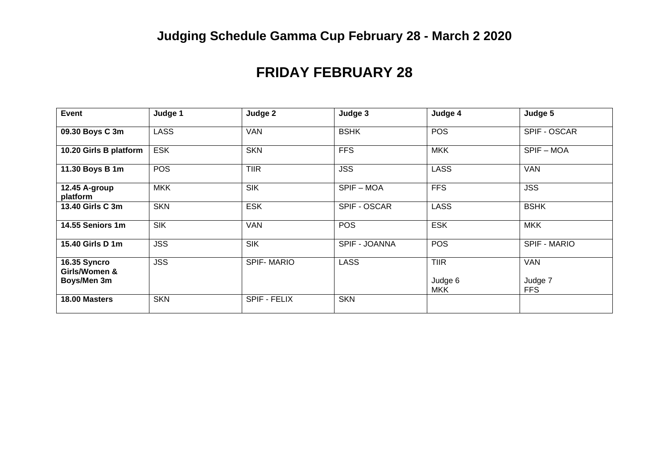# **Judging Schedule Gamma Cup February 28 - March 2 2020**

## **FRIDAY FEBRUARY 28**

| <b>Event</b>                                 | Judge 1     | Judge 2           | Judge 3       | Judge 4                              | Judge 5                             |
|----------------------------------------------|-------------|-------------------|---------------|--------------------------------------|-------------------------------------|
| 09.30 Boys C 3m                              | <b>LASS</b> | <b>VAN</b>        | <b>BSHK</b>   | <b>POS</b>                           | SPIF - OSCAR                        |
| 10.20 Girls B platform                       | <b>ESK</b>  | <b>SKN</b>        | <b>FFS</b>    | <b>MKK</b>                           | SPIF-MOA                            |
| 11.30 Boys B 1m                              | <b>POS</b>  | <b>TIIR</b>       | <b>JSS</b>    | <b>LASS</b>                          | <b>VAN</b>                          |
| 12.45 A-group<br>platform                    | <b>MKK</b>  | <b>SIK</b>        | SPIF-MOA      | <b>FFS</b>                           | <b>JSS</b>                          |
| 13.40 Girls C 3m                             | <b>SKN</b>  | <b>ESK</b>        | SPIF - OSCAR  | <b>LASS</b>                          | <b>BSHK</b>                         |
| 14.55 Seniors 1m                             | <b>SIK</b>  | <b>VAN</b>        | <b>POS</b>    | <b>ESK</b>                           | <b>MKK</b>                          |
| 15.40 Girls D 1m                             | <b>JSS</b>  | <b>SIK</b>        | SPIF - JOANNA | <b>POS</b>                           | <b>SPIF - MARIO</b>                 |
| 16.35 Syncro<br>Girls/Women &<br>Boys/Men 3m | <b>JSS</b>  | <b>SPIF-MARIO</b> | <b>LASS</b>   | <b>TIIR</b><br>Judge 6<br><b>MKK</b> | <b>VAN</b><br>Judge 7<br><b>FFS</b> |
| 18.00 Masters                                | <b>SKN</b>  | SPIF - FELIX      | <b>SKN</b>    |                                      |                                     |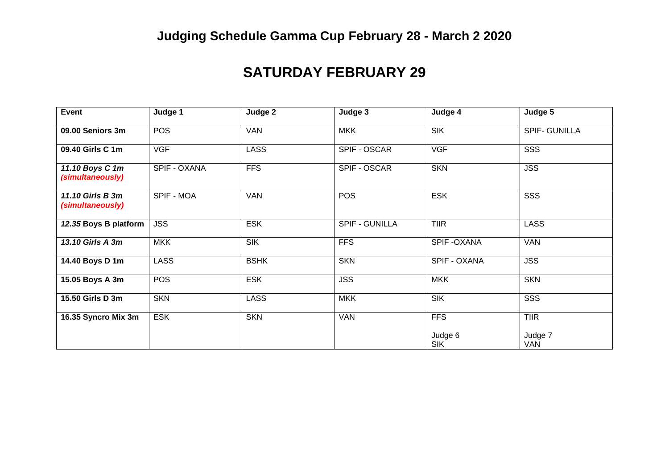# **Judging Schedule Gamma Cup February 28 - March 2 2020**

## **SATURDAY FEBRUARY 29**

| <b>Event</b>                         | Judge 1      | Judge 2          | Judge 3               | Judge 4               | Judge 5               |
|--------------------------------------|--------------|------------------|-----------------------|-----------------------|-----------------------|
| 09.00 Seniors 3m                     | <b>POS</b>   | <b>VAN</b>       | <b>MKK</b>            | <b>SIK</b>            | <b>SPIF- GUNILLA</b>  |
| 09.40 Girls C 1m                     | <b>VGF</b>   | <b>LASS</b>      | SPIF - OSCAR          | <b>VGF</b>            | SSS                   |
| 11.10 Boys C 1m<br>(simultaneously)  | SPIF - OXANA | <b>FFS</b>       | SPIF - OSCAR          | <b>SKN</b>            | <b>JSS</b>            |
| 11.10 Girls B 3m<br>(simultaneously) | SPIF - MOA   | <b>VAN</b>       | <b>POS</b>            | <b>ESK</b>            | SSS                   |
| 12.35 Boys B platform                | <b>JSS</b>   | <b>ESK</b>       | <b>SPIF - GUNILLA</b> | <b>TIIR</b>           | <b>LASS</b>           |
| 13.10 Girls A 3m                     | <b>MKK</b>   | $S$ <sub>K</sub> | <b>FFS</b>            | SPIF-OXANA            | <b>VAN</b>            |
| 14.40 Boys D 1m                      | <b>LASS</b>  | <b>BSHK</b>      | <b>SKN</b>            | SPIF - OXANA          | <b>JSS</b>            |
| 15.05 Boys A 3m                      | <b>POS</b>   | <b>ESK</b>       | <b>JSS</b>            | <b>MKK</b>            | <b>SKN</b>            |
| 15.50 Girls D 3m                     | <b>SKN</b>   | <b>LASS</b>      | <b>MKK</b>            | <b>SIK</b>            | SSS                   |
| 16.35 Syncro Mix 3m                  | <b>ESK</b>   | <b>SKN</b>       | <b>VAN</b>            | <b>FFS</b>            | <b>TIIR</b>           |
|                                      |              |                  |                       | Judge 6<br><b>SIK</b> | Judge 7<br><b>VAN</b> |